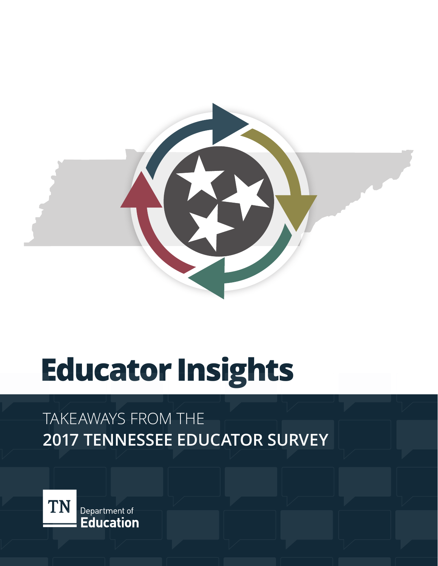

# **Educator Insights**

### TAKEAWAYS FROM THE **2017 TENNESSEE EDUCATOR SURVEY**



Department of **Education**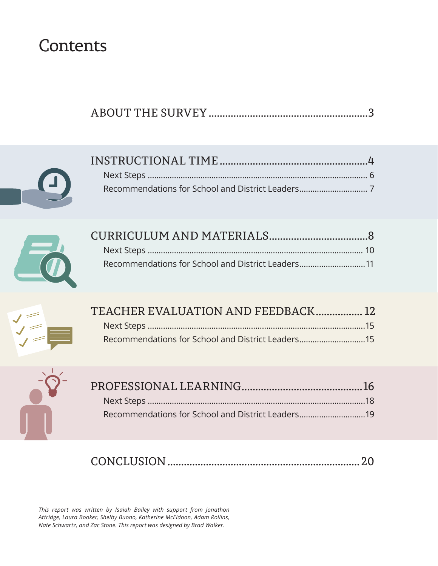### **Contents**





| Recommendations for School and District Leaders11 |  |
|---------------------------------------------------|--|



| TEACHER EVALUATION AND FEEDBACK 12                |  |
|---------------------------------------------------|--|
|                                                   |  |
| Recommendations for School and District Leaders15 |  |



| Recommendations for School and District Leaders19 |  |
|---------------------------------------------------|--|

|--|--|

*This report was written by Isaiah Bailey with support from Jonathon Attridge, Laura Booker, Shelby Buono, Katherine McEldoon, Adam Rollins, Nate Schwartz, and Zac Stone. This report was designed by Brad Walker.*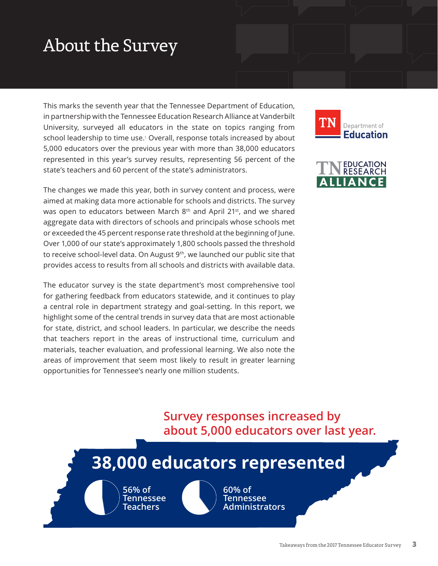### <span id="page-2-0"></span>About the Survey

This marks the seventh year that the Tennessee Department of Education, in partnership with the Tennessee Education Research Alliance at Vanderbilt University, surveyed all educators in the state on topics ranging from school leadership to time use.1 Overall, response totals increased by about 5,000 educators over the previous year with more than 38,000 educators represented in this year's survey results, representing 56 percent of the state's teachers and 60 percent of the state's administrators.

The changes we made this year, both in survey content and process, were aimed at making data more actionable for schools and districts. The survey was open to educators between March 8<sup>th</sup> and April 21<sup>st</sup>, and we shared aggregate data with directors of schools and principals whose schools met or exceeded the 45 percent response rate threshold at the beginning of June. Over 1,000 of our state's approximately 1,800 schools passed the threshold to receive school-level data. On August 9<sup>th</sup>, we launched our public site that provides access to results from all schools and districts with available data.

The educator survey is the state department's most comprehensive tool for gathering feedback from educators statewide, and it continues to play a central role in department strategy and goal-setting. In this report, we highlight some of the central trends in survey data that are most actionable for state, district, and school leaders. In particular, we describe the needs that teachers report in the areas of instructional time, curriculum and materials, teacher evaluation, and professional learning. We also note the areas of improvement that seem most likely to result in greater learning opportunities for Tennessee's nearly one million students.





### **Survey responses increased by about 5,000 educators over last year.**

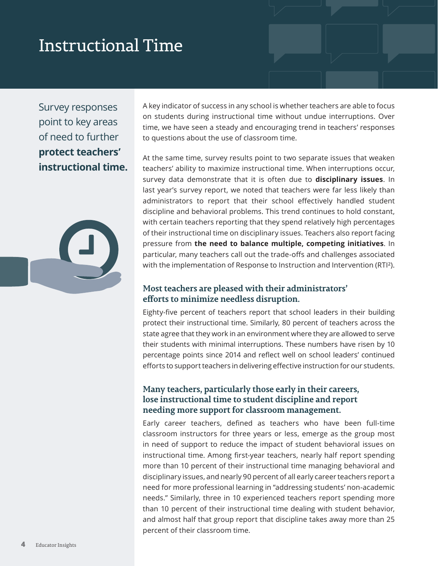### <span id="page-3-0"></span>Instructional Time

Survey responses point to key areas of need to further **protect teachers' instructional time.**



A key indicator of success in any school is whether teachers are able to focus on students during instructional time without undue interruptions. Over time, we have seen a steady and encouraging trend in teachers' responses to questions about the use of classroom time.

At the same time, survey results point to two separate issues that weaken teachers' ability to maximize instructional time. When interruptions occur, survey data demonstrate that it is often due to **disciplinary issues**. In last year's survey report, we noted that teachers were far less likely than administrators to report that their school effectively handled student discipline and behavioral problems. This trend continues to hold constant, with certain teachers reporting that they spend relatively high percentages of their instructional time on disciplinary issues. Teachers also report facing pressure from **the need to balance multiple, competing initiatives**. In particular, many teachers call out the trade-offs and challenges associated with the implementation of Response to Instruction and Intervention (RTI²).

#### **Most teachers are pleased with their administrators' efforts to minimize needless disruption.**

Eighty-five percent of teachers report that school leaders in their building protect their instructional time. Similarly, 80 percent of teachers across the state agree that they work in an environment where they are allowed to serve their students with minimal interruptions. These numbers have risen by 10 percentage points since 2014 and reflect well on school leaders' continued efforts to support teachers in delivering effective instruction for our students.

#### **Many teachers, particularly those early in their careers, lose instructional time to student discipline and report needing more support for classroom management.**

Early career teachers, defined as teachers who have been full-time classroom instructors for three years or less, emerge as the group most in need of support to reduce the impact of student behavioral issues on instructional time. Among first-year teachers, nearly half report spending more than 10 percent of their instructional time managing behavioral and disciplinary issues, and nearly 90 percent of all early career teachers report a need for more professional learning in "addressing students' non-academic needs." Similarly, three in 10 experienced teachers report spending more than 10 percent of their instructional time dealing with student behavior, and almost half that group report that discipline takes away more than 25 percent of their classroom time.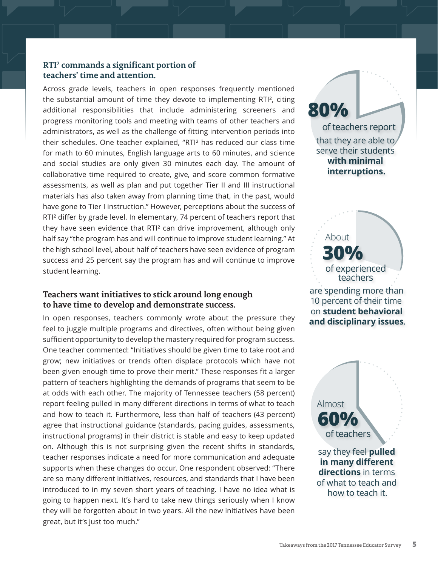#### **RTI2 commands a significant portion of teachers' time and attention.**

Across grade levels, teachers in open responses frequently mentioned the substantial amount of time they devote to implementing RTI², citing additional responsibilities that include administering screeners and progress monitoring tools and meeting with teams of other teachers and administrators, as well as the challenge of fitting intervention periods into their schedules. One teacher explained, "RTI² has reduced our class time for math to 60 minutes, English language arts to 60 minutes, and science and social studies are only given 30 minutes each day. The amount of collaborative time required to create, give, and score common formative assessments, as well as plan and put together Tier II and III instructional materials has also taken away from planning time that, in the past, would have gone to Tier I instruction." However, perceptions about the success of RTI² differ by grade level. In elementary, 74 percent of teachers report that they have seen evidence that RTI² can drive improvement, although only half say "the program has and will continue to improve student learning." At the high school level, about half of teachers have seen evidence of program success and 25 percent say the program has and will continue to improve student learning.

#### **Teachers want initiatives to stick around long enough to have time to develop and demonstrate success.**

In open responses, teachers commonly wrote about the pressure they feel to juggle multiple programs and directives, often without being given sufficient opportunity to develop the mastery required for program success. One teacher commented: "Initiatives should be given time to take root and grow; new initiatives or trends often displace protocols which have not been given enough time to prove their merit." These responses fit a larger pattern of teachers highlighting the demands of programs that seem to be at odds with each other. The majority of Tennessee teachers (58 percent) report feeling pulled in many different directions in terms of what to teach and how to teach it. Furthermore, less than half of teachers (43 percent) agree that instructional guidance (standards, pacing guides, assessments, instructional programs) in their district is stable and easy to keep updated on. Although this is not surprising given the recent shifts in standards, teacher responses indicate a need for more communication and adequate supports when these changes do occur. One respondent observed: "There are so many different initiatives, resources, and standards that I have been introduced to in my seven short years of teaching. I have no idea what is going to happen next. It's hard to take new things seriously when I know they will be forgotten about in two years. All the new initiatives have been great, but it's just too much."

**80%** of teachers report that they are able to serve their students **with minimal interruptions.**

are spending more than **30%** About of experienced teachers

10 percent of their time on **student behavioral and disciplinary issues**.

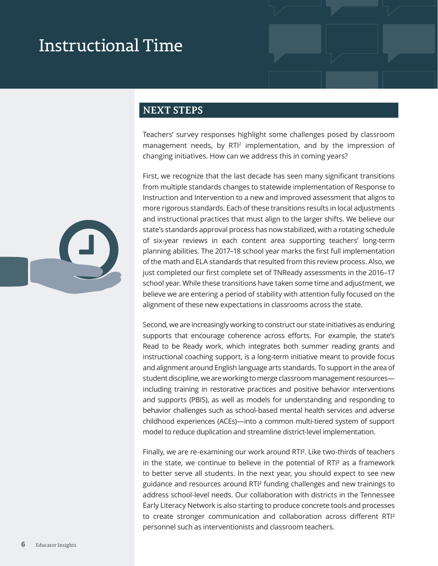### <span id="page-5-0"></span>Instructional Time

#### **NEXT STEPS**

Teachers' survey responses highlight some challenges posed by classroom management needs, by  $RTI<sup>2</sup>$  implementation, and by the impression of changing initiatives. How can we address this in coming years?

First, we recognize that the last decade has seen many significant transitions from multiple standards changes to statewide implementation of Response to Instruction and Intervention to a new and improved assessment that aligns to more rigorous standards. Each of these transitions results in local adjustments and instructional practices that must align to the larger shifts. We believe our state's standards approval process has now stabilized, with a rotating schedule of six-year reviews in each content area supporting teachers' long-term planning abilities. The 2017–18 school year marks the first full implementation of the math and ELA standards that resulted from this review process. Also, we just completed our first complete set of TNReady assessments in the 2016–17 school year. While these transitions have taken some time and adjustment, we believe we are entering a period of stability with attention fully focused on the alignment of these new expectations in classrooms across the state.

Second, we are increasingly working to construct our state initiatives as enduring supports that encourage coherence across efforts. For example, the state's Read to be Ready work, which integrates both summer reading grants and instructional coaching support, is a long-term initiative meant to provide focus and alignment around English language arts standards. To support in the area of student discipline, we are working to merge classroom management resources including training in restorative practices and positive behavior interventions and supports (PBIS), as well as models for understanding and responding to behavior challenges such as school-based mental health services and adverse childhood experiences (ACEs)—into a common multi-tiered system of support model to reduce duplication and streamline district-level implementation.

Finally, we are re-examining our work around RTI². Like two-thirds of teachers in the state, we continue to believe in the potential of RTI² as a framework to better serve all students. In the next year, you should expect to see new guidance and resources around RTI² funding challenges and new trainings to address school-level needs. Our collaboration with districts in the Tennessee Early Literacy Network is also starting to produce concrete tools and processes to create stronger communication and collaboration across different RTI² personnel such as interventionists and classroom teachers.

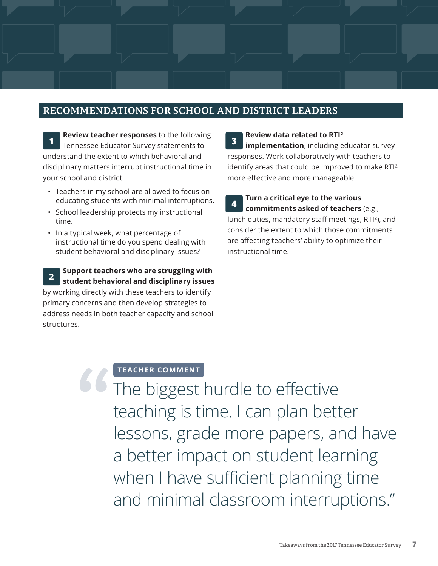#### <span id="page-6-0"></span>**RECOMMENDATIONS FOR SCHOOL AND DISTRICT LEADERS**

**Review teacher responses** to the following Tennessee Educator Survey statements to understand the extent to which behavioral and disciplinary matters interrupt instructional time in your school and district. **1**

- Teachers in my school are allowed to focus on educating students with minimal interruptions.
- School leadership protects my instructional time.
- In a typical week, what percentage of instructional time do you spend dealing with student behavioral and disciplinary issues?

**Support teachers who are struggling with student behavioral and disciplinary issues 2**

by working directly with these teachers to identify primary concerns and then develop strategies to address needs in both teacher capacity and school structures.

**Review data related to RTI² implementation**, including educator survey responses. Work collaboratively with teachers to identify areas that could be improved to make RTI² more effective and more manageable. **3**

**Turn a critical eye to the various commitments asked of teachers** (e.g., lunch duties, mandatory staff meetings, RTI²), and consider the extent to which those commitments are affecting teachers' ability to optimize their instructional time. **4**

#### **TEACHER COMMENT**

The biggest hurdle to effective teaching is time. I can plan better lessons, grade more papers, and have a better impact on student learning when I have sufficient planning time and minimal classroom interruptions." **"**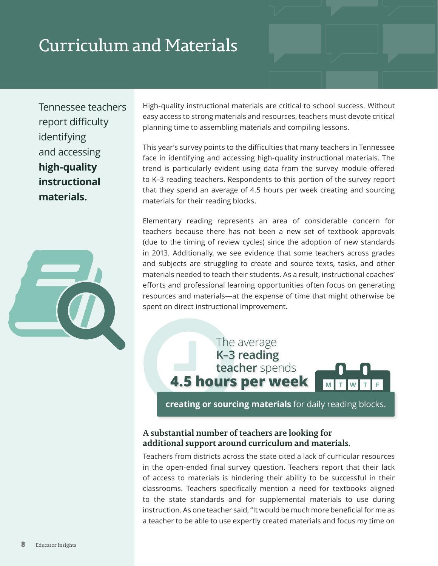### <span id="page-7-0"></span>Curriculum and Materials

Tennessee teachers report difficulty identifying and accessing **high-quality instructional materials.**



High-quality instructional materials are critical to school success. Without easy access to strong materials and resources, teachers must devote critical planning time to assembling materials and compiling lessons.

This year's survey points to the difficulties that many teachers in Tennessee face in identifying and accessing high-quality instructional materials. The trend is particularly evident using data from the survey module offered to K–3 reading teachers. Respondents to this portion of the survey report that they spend an average of 4.5 hours per week creating and sourcing materials for their reading blocks.

Elementary reading represents an area of considerable concern for teachers because there has not been a new set of textbook approvals (due to the timing of review cycles) since the adoption of new standards in 2013. Additionally, we see evidence that some teachers across grades and subjects are struggling to create and source texts, tasks, and other materials needed to teach their students. As a result, instructional coaches' efforts and professional learning opportunities often focus on generating resources and materials—at the expense of time that might otherwise be spent on direct instructional improvement.

**4.5 hours per week** The average **K–3 reading teacher** spends

**creating or sourcing materials** for daily reading blocks.

#### **A substantial number of teachers are looking for additional support around curriculum and materials.**

Teachers from districts across the state cited a lack of curricular resources in the open-ended final survey question. Teachers report that their lack of access to materials is hindering their ability to be successful in their classrooms. Teachers specifically mention a need for textbooks aligned to the state standards and for supplemental materials to use during instruction. As one teacher said, "It would be much more beneficial for me as a teacher to be able to use expertly created materials and focus my time on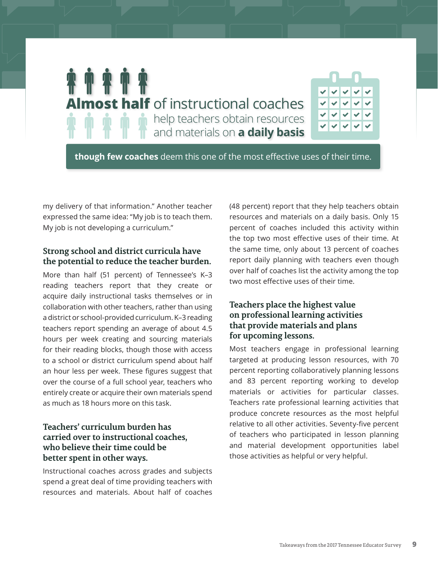

**though few coaches** deem this one of the most effective uses of their time.

my delivery of that information." Another teacher expressed the same idea: "My job is to teach them. My job is not developing a curriculum."

#### **Strong school and district curricula have the potential to reduce the teacher burden.**

More than half (51 percent) of Tennessee's K–3 reading teachers report that they create or acquire daily instructional tasks themselves or in collaboration with other teachers, rather than using a district or school-provided curriculum. K–3 reading teachers report spending an average of about 4.5 hours per week creating and sourcing materials for their reading blocks, though those with access to a school or district curriculum spend about half an hour less per week. These figures suggest that over the course of a full school year, teachers who entirely create or acquire their own materials spend as much as 18 hours more on this task.

#### **Teachers' curriculum burden has carried over to instructional coaches, who believe their time could be better spent in other ways.**

Instructional coaches across grades and subjects spend a great deal of time providing teachers with resources and materials. About half of coaches

(48 percent) report that they help teachers obtain resources and materials on a daily basis. Only 15 percent of coaches included this activity within the top two most effective uses of their time. At the same time, only about 13 percent of coaches report daily planning with teachers even though over half of coaches list the activity among the top two most effective uses of their time.

#### **Teachers place the highest value on professional learning activities that provide materials and plans for upcoming lessons.**

Most teachers engage in professional learning targeted at producing lesson resources, with 70 percent reporting collaboratively planning lessons and 83 percent reporting working to develop materials or activities for particular classes. Teachers rate professional learning activities that produce concrete resources as the most helpful relative to all other activities. Seventy-five percent of teachers who participated in lesson planning and material development opportunities label those activities as helpful or very helpful.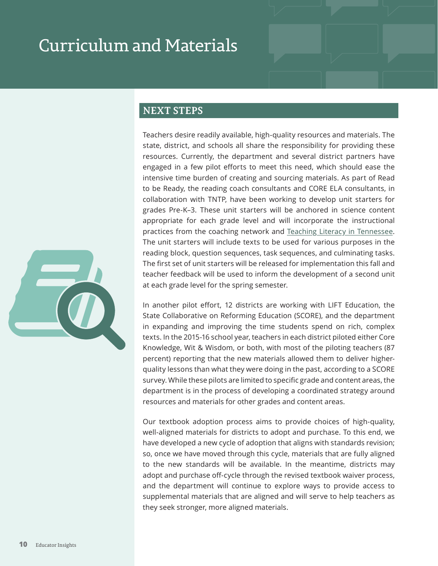### <span id="page-9-0"></span>Curriculum and Materials

#### **NEXT STEPS**

Teachers desire readily available, high-quality resources and materials. The state, district, and schools all share the responsibility for providing these resources. Currently, the department and several district partners have engaged in a few pilot efforts to meet this need, which should ease the intensive time burden of creating and sourcing materials. As part of Read to be Ready, the reading coach consultants and CORE ELA consultants, in collaboration with TNTP, have been working to develop unit starters for grades Pre-K–3. These unit starters will be anchored in science content appropriate for each grade level and will incorporate the instructional practices from the coaching network and [Teaching Literacy in Tennessee](https://tn.gov/assets/entities/education/attachments/rpt_teaching_literacy_in_tn.pdf). The unit starters will include texts to be used for various purposes in the reading block, question sequences, task sequences, and culminating tasks. The first set of unit starters will be released for implementation this fall and teacher feedback will be used to inform the development of a second unit at each grade level for the spring semester.

In another pilot effort, 12 districts are working with LIFT Education, the State Collaborative on Reforming Education (SCORE), and the department in expanding and improving the time students spend on rich, complex texts. In the 2015-16 school year, teachers in each district piloted either Core Knowledge, Wit & Wisdom, or both, with most of the piloting teachers (87 percent) reporting that the new materials allowed them to deliver higherquality lessons than what they were doing in the past, according to a SCORE survey. While these pilots are limited to specific grade and content areas, the department is in the process of developing a coordinated strategy around resources and materials for other grades and content areas.

Our textbook adoption process aims to provide choices of high-quality, well-aligned materials for districts to adopt and purchase. To this end, we have developed a new cycle of adoption that aligns with standards revision; so, once we have moved through this cycle, materials that are fully aligned to the new standards will be available. In the meantime, districts may adopt and purchase off-cycle through the revised textbook waiver process, and the department will continue to explore ways to provide access to supplemental materials that are aligned and will serve to help teachers as they seek stronger, more aligned materials.

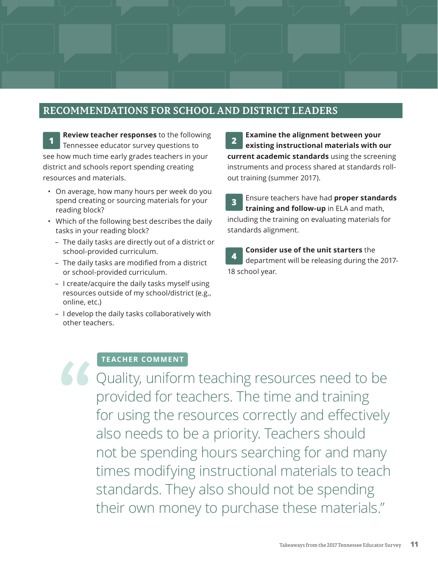#### <span id="page-10-0"></span>**RECOMMENDATIONS FOR SCHOOL AND DISTRICT LEADERS**

**Review teacher responses** to the following Tennessee educator survey questions to **1 2** see how much time early grades teachers in your district and schools report spending creating resources and materials.

- On average, how many hours per week do you spend creating or sourcing materials for your reading block?
- Which of the following best describes the daily tasks in your reading block?
	- The daily tasks are directly out of a district or school-provided curriculum.
	- The daily tasks are modified from a district or school-provided curriculum.
	- I create/acquire the daily tasks myself using resources outside of my school/district (e.g., online, etc.)
	- I develop the daily tasks collaboratively with other teachers.

**Examine the alignment between your existing instructional materials with our current academic standards** using the screening instruments and process shared at standards rollout training (summer 2017).

Ensure teachers have had **proper standards training and follow-up** in ELA and math, including the training on evaluating materials for standards alignment. **3**

**Consider use of the unit starters** the department will be releasing during the 2017- 18 school year. **4**

#### **TEACHER COMMENT**

Quality, uniform teaching resources need to be provided for teachers. The time and training for using the resources correctly and effectively also needs to be a priority. Teachers should not be spending hours searching for and many times modifying instructional materials to teach standards. They also should not be spending their own money to purchase these materials." **"**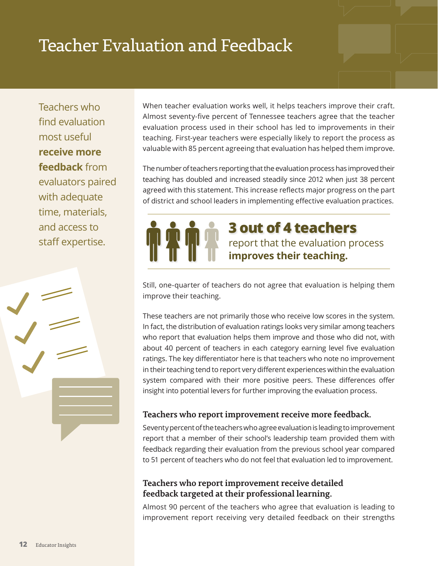### <span id="page-11-0"></span>Teacher Evaluation and Feedback

Teachers who find evaluation most useful **receive more feedback** from evaluators paired with adequate time, materials, and access to staff expertise.



When teacher evaluation works well, it helps teachers improve their craft. Almost seventy-five percent of Tennessee teachers agree that the teacher evaluation process used in their school has led to improvements in their teaching. First-year teachers were especially likely to report the process as valuable with 85 percent agreeing that evaluation has helped them improve.

The number of teachers reporting that the evaluation process has improved their teaching has doubled and increased steadily since 2012 when just 38 percent agreed with this statement. This increase reflects major progress on the part of district and school leaders in implementing effective evaluation practices.

> report that the evaluation process **improves their teaching. 3 out of 4 teachers**

Still, one-quarter of teachers do not agree that evaluation is helping them improve their teaching.

These teachers are not primarily those who receive low scores in the system. In fact, the distribution of evaluation ratings looks very similar among teachers who report that evaluation helps them improve and those who did not, with about 40 percent of teachers in each category earning level five evaluation ratings. The key differentiator here is that teachers who note no improvement in their teaching tend to report very different experiences within the evaluation system compared with their more positive peers. These differences offer insight into potential levers for further improving the evaluation process.

#### **Teachers who report improvement receive more feedback.**

Seventy percent of the teachers who agree evaluation is leading to improvement report that a member of their school's leadership team provided them with feedback regarding their evaluation from the previous school year compared to 51 percent of teachers who do not feel that evaluation led to improvement.

#### **Teachers who report improvement receive detailed feedback targeted at their professional learning.**

Almost 90 percent of the teachers who agree that evaluation is leading to improvement report receiving very detailed feedback on their strengths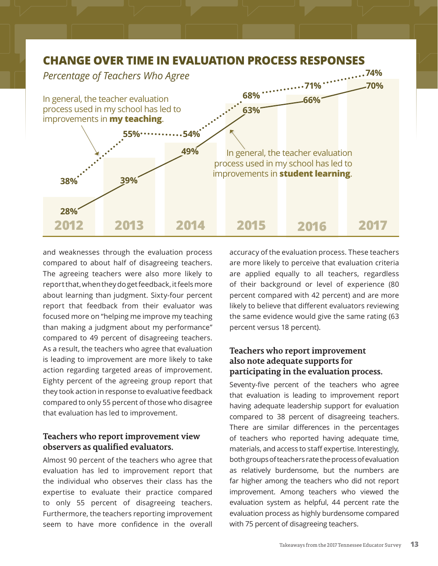

and weaknesses through the evaluation process compared to about half of disagreeing teachers. The agreeing teachers were also more likely to report that, when they do get feedback, it feels more about learning than judgment. Sixty-four percent report that feedback from their evaluator was focused more on "helping me improve my teaching than making a judgment about my performance" compared to 49 percent of disagreeing teachers. As a result, the teachers who agree that evaluation is leading to improvement are more likely to take action regarding targeted areas of improvement. Eighty percent of the agreeing group report that they took action in response to evaluative feedback compared to only 55 percent of those who disagree that evaluation has led to improvement.

#### **Teachers who report improvement view observers as qualified evaluators.**

Almost 90 percent of the teachers who agree that evaluation has led to improvement report that the individual who observes their class has the expertise to evaluate their practice compared to only 55 percent of disagreeing teachers. Furthermore, the teachers reporting improvement seem to have more confidence in the overall accuracy of the evaluation process. These teachers are more likely to perceive that evaluation criteria are applied equally to all teachers, regardless of their background or level of experience (80 percent compared with 42 percent) and are more likely to believe that different evaluators reviewing the same evidence would give the same rating (63 percent versus 18 percent).

#### **Teachers who report improvement also note adequate supports for participating in the evaluation process.**

Seventy-five percent of the teachers who agree that evaluation is leading to improvement report having adequate leadership support for evaluation compared to 38 percent of disagreeing teachers. There are similar differences in the percentages of teachers who reported having adequate time, materials, and access to staff expertise. Interestingly, both groups of teachers rate the process of evaluation as relatively burdensome, but the numbers are far higher among the teachers who did not report improvement. Among teachers who viewed the evaluation system as helpful, 44 percent rate the evaluation process as highly burdensome compared with 75 percent of disagreeing teachers.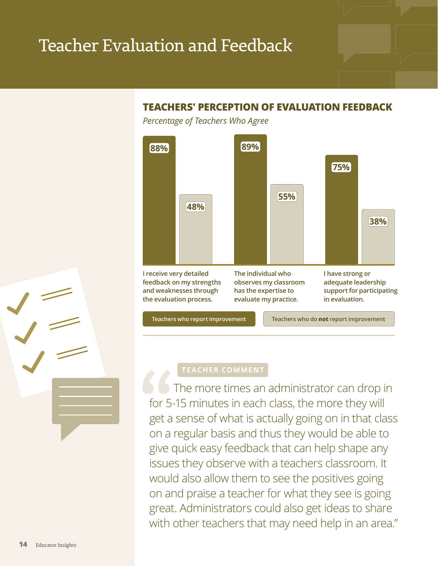### Teacher Evaluation and Feedback

#### **TEACHERS' PERCEPTION OF EVALUATION FEEDBACK**

*Percentage of Teachers Who Agree*



The more times an administrator can drop in for 5-15 minutes in each class, the more they will get a sense of what is actually going on in that class on a regular basis and thus they would be able to give quick easy feedback that can help shape any issues they observe with a teachers classroom. It would also allow them to see the positives going on and praise a teacher for what they see is going great. Administrators could also get ideas to share with other teachers that may need help in an area." **66**<br>
for 5<br>
get a<br>
on a

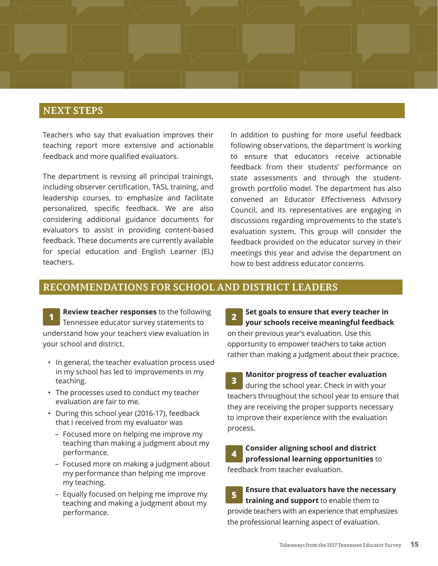#### <span id="page-14-0"></span>**NEXT STEPS**

Teachers who say that evaluation improves their teaching report more extensive and actionable feedback and more qualified evaluators.

The department is revising all principal trainings, including observer certification, TASL training, and leadership courses, to emphasize and facilitate personalized, specific feedback. We are also considering additional guidance documents for evaluators to assist in providing content-based feedback. These documents are currently available for special education and English Learner (EL) teachers.

In addition to pushing for more useful feedback following observations, the department is working to ensure that educators receive actionable feedback from their students' performance on state assessments and through the studentgrowth portfolio model. The department has also convened an Educator Effectiveness Advisory Council, and its representatives are engaging in discussions regarding improvements to the state's evaluation system. This group will consider the feedback provided on the educator survey in their meetings this year and advise the department on how to best address educator concerns.

#### **RECOMMENDATIONS FOR SCHOOL AND DISTRICT LEADERS**

**Review teacher responses** to the following Tennessee educator survey statements to **1 2** understand how your teachers view evaluation in your school and district.

- In general, the teacher evaluation process used in my school has led to improvements in my teaching.
- The processes used to conduct my teacher evaluation are fair to me.
- During this school year (2016-17), feedback that I received from my evaluator was
	- Focused more on helping me improve my teaching than making a judgment about my performance.
	- Focused more on making a judgment about my performance than helping me improve my teaching.
	- Equally focused on helping me improve my teaching and making a judgment about my performance.

**Set goals to ensure that every teacher in your schools receive meaningful feedback** on their previous year's evaluation. Use this opportunity to empower teachers to take action rather than making a judgment about their practice.

**Monitor progress of teacher evaluation** during the school year. Check in with your teachers throughout the school year to ensure that they are receiving the proper supports necessary to improve their experience with the evaluation process. **3**

**Consider aligning school and district professional learning opportunities** to feedback from teacher evaluation. **4**

**Ensure that evaluators have the necessary training and support** to enable them to provide teachers with an experience that emphasizes the professional learning aspect of evaluation. **5**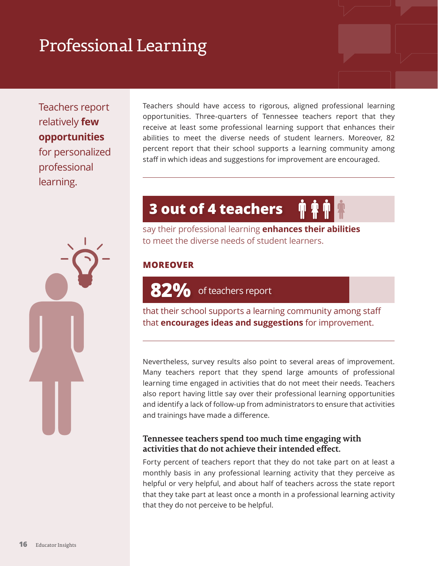## <span id="page-15-0"></span>Professional Learning

Teachers report relatively **few opportunities** for personalized professional learning.

Teachers should have access to rigorous, aligned professional learning opportunities. Three-quarters of Tennessee teachers report that they receive at least some professional learning support that enhances their abilities to meet the diverse needs of student learners. Moreover, 82 percent report that their school supports a learning community among staff in which ideas and suggestions for improvement are encouraged.

### **3 out of 4 teachers**

say their professional learning **enhances their abilities** to meet the diverse needs of student learners.

#### **MOREOVER**

82% of teachers report

that their school supports a learning community among staff that **encourages ideas and suggestions** for improvement.

Nevertheless, survey results also point to several areas of improvement. Many teachers report that they spend large amounts of professional learning time engaged in activities that do not meet their needs. Teachers also report having little say over their professional learning opportunities and identify a lack of follow-up from administrators to ensure that activities and trainings have made a difference.

#### **Tennessee teachers spend too much time engaging with activities that do not achieve their intended effect.**

Forty percent of teachers report that they do not take part on at least a monthly basis in any professional learning activity that they perceive as helpful or very helpful, and about half of teachers across the state report that they take part at least once a month in a professional learning activity that they do not perceive to be helpful.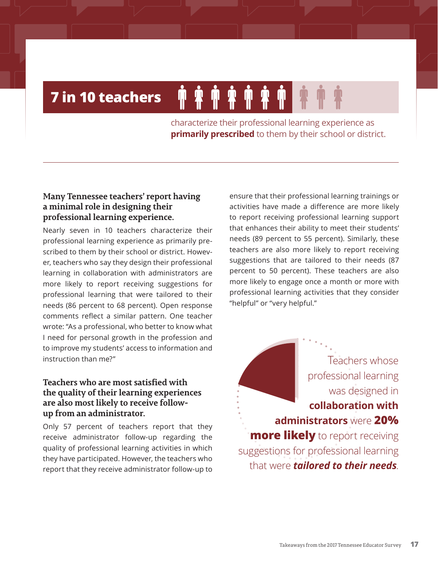### **7 in 10 teachers**

characterize their professional learning experience as **primarily prescribed** to them by their school or district.

**\$\$\$\$** 

#### **Many Tennessee teachers' report having a minimal role in designing their professional learning experience.**

Nearly seven in 10 teachers characterize their professional learning experience as primarily prescribed to them by their school or district. However, teachers who say they design their professional learning in collaboration with administrators are more likely to report receiving suggestions for professional learning that were tailored to their needs (86 percent to 68 percent). Open response comments reflect a similar pattern. One teacher wrote: "As a professional, who better to know what I need for personal growth in the profession and to improve my students' access to information and instruction than me?"

#### **Teachers who are most satisfied with the quality of their learning experiences are also most likely to receive followup from an administrator.**

Only 57 percent of teachers report that they receive administrator follow-up regarding the quality of professional learning activities in which they have participated. However, the teachers who report that they receive administrator follow-up to

ensure that their professional learning trainings or activities have made a difference are more likely to report receiving professional learning support that enhances their ability to meet their students' needs (89 percent to 55 percent). Similarly, these teachers are also more likely to report receiving suggestions that are tailored to their needs (87 percent to 50 percent). These teachers are also more likely to engage once a month or more with professional learning activities that they consider "helpful" or "very helpful."

was designed in **collaboration with administrators** were **20% more likely** to report receiving suggestions for professional learning that were *tailored to their needs*.

Teachers whose

professional learning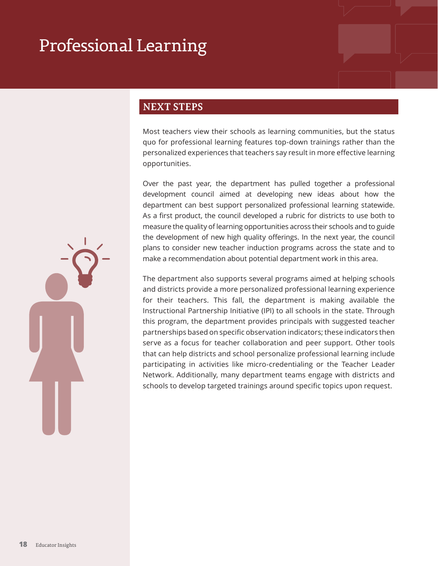### <span id="page-17-0"></span>Professional Learning

#### **NEXT STEPS**

Most teachers view their schools as learning communities, but the status quo for professional learning features top-down trainings rather than the personalized experiences that teachers say result in more effective learning opportunities.

Over the past year, the department has pulled together a professional development council aimed at developing new ideas about how the department can best support personalized professional learning statewide. As a first product, the council developed a rubric for districts to use both to measure the quality of learning opportunities across their schools and to guide the development of new high quality offerings. In the next year, the council plans to consider new teacher induction programs across the state and to make a recommendation about potential department work in this area.

The department also supports several programs aimed at helping schools and districts provide a more personalized professional learning experience for their teachers. This fall, the department is making available the Instructional Partnership Initiative (IPI) to all schools in the state. Through this program, the department provides principals with suggested teacher partnerships based on specific observation indicators; these indicators then serve as a focus for teacher collaboration and peer support. Other tools that can help districts and school personalize professional learning include participating in activities like micro-credentialing or the Teacher Leader Network. Additionally, many department teams engage with districts and schools to develop targeted trainings around specific topics upon request.

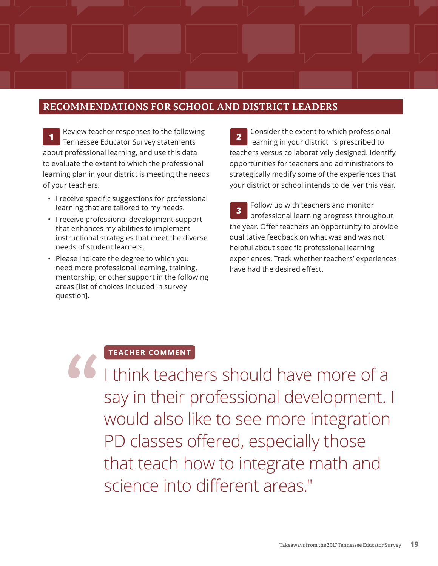#### <span id="page-18-0"></span>**RECOMMENDATIONS FOR SCHOOL AND DISTRICT LEADERS**

Review teacher responses to the following **1 Tennessee Educator Survey statements** about professional learning, and use this data to evaluate the extent to which the professional learning plan in your district is meeting the needs of your teachers.

- I receive specific suggestions for professional learning that are tailored to my needs.
- I receive professional development support that enhances my abilities to implement instructional strategies that meet the diverse needs of student learners.
- Please indicate the degree to which you need more professional learning, training, mentorship, or other support in the following areas [list of choices included in survey question].

Consider the extent to which professional learning in your district is prescribed to teachers versus collaboratively designed. Identify opportunities for teachers and administrators to strategically modify some of the experiences that your district or school intends to deliver this year.

Follow up with teachers and monitor professional learning progress throughout the year. Offer teachers an opportunity to provide qualitative feedback on what was and was not helpful about specific professional learning experiences. Track whether teachers' experiences have had the desired effect. **3**

#### **TEACHER COMMENT**

I think teachers should have more of a say in their professional development. I would also like to see more integration PD classes offered, especially those that teach how to integrate math and science into different areas." **"**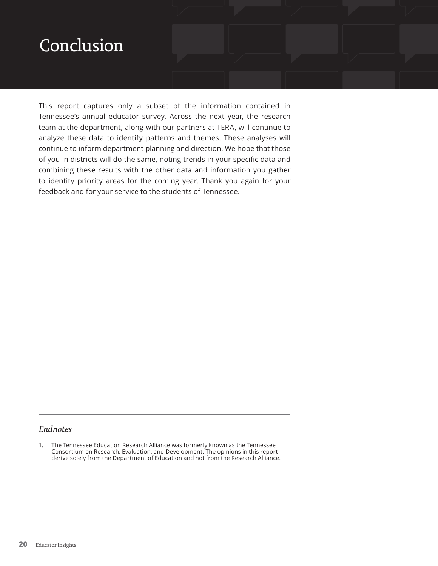### <span id="page-19-0"></span>Conclusion

This report captures only a subset of the information contained in Tennessee's annual educator survey. Across the next year, the research team at the department, along with our partners at TERA, will continue to analyze these data to identify patterns and themes. These analyses will continue to inform department planning and direction. We hope that those of you in districts will do the same, noting trends in your specific data and combining these results with the other data and information you gather to identify priority areas for the coming year. Thank you again for your feedback and for your service to the students of Tennessee.

#### *Endnotes*

1. The Tennessee Education Research Alliance was formerly known as the Tennessee Consortium on Research, Evaluation, and Development. The opinions in this report derive solely from the Department of Education and not from the Research Alliance.